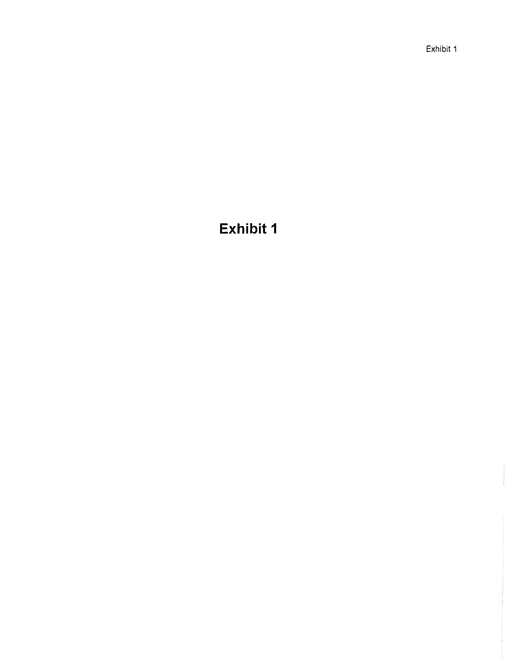Exhibit 1

# **Exhibit 1**